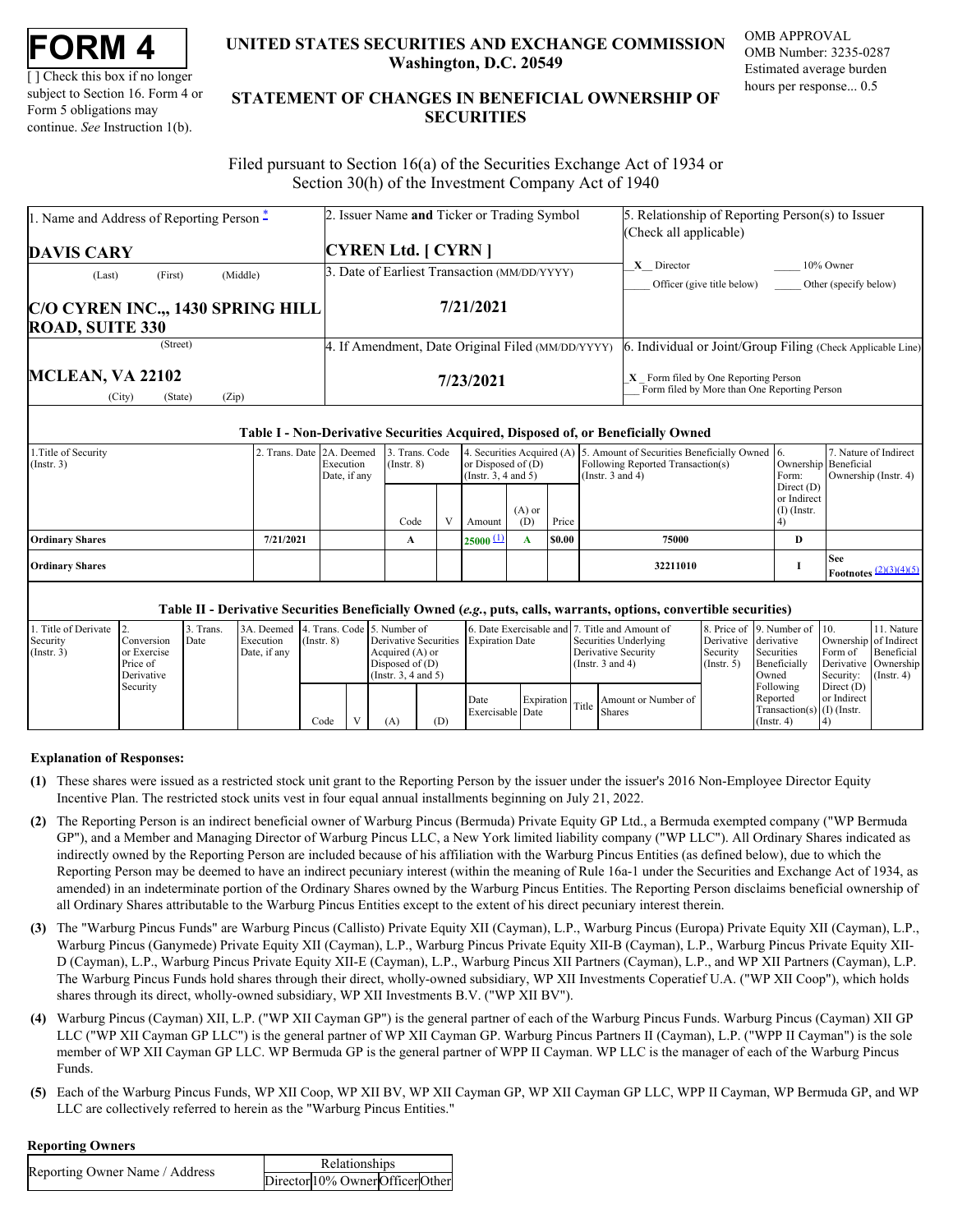| FORM . |  |
|--------|--|
|--------|--|

[ ] Check this box if no longer subject to Section 16. Form 4 or Form 5 obligations may continue. *See* Instruction 1(b).

# **UNITED STATES SECURITIES AND EXCHANGE COMMISSION OMB APPROVAL Washington, D.C. 20549**

OMB Number: 3235-0287 Estimated average burden hours per response... 0.5

# **UNITED STATES SECURITIES AND EXCHANGE COMMISSION**<br>
UNITED STATES SECURITIES AND EXCHANGE COMMISSION<br>
UNERSITY OF SUBJECT AND THE STATEMENT OF CHANGES IN BENEFICIAL OWNERSHIP OF<br>
Form 5 obligations may<br>
continue. See Instr **STATEMENT OF CHANGES IN BENEFICIAL OWNERSHIP OF SECURITIES** TATES SECURITIES AND EXCHANGE COMMISSION OMB APPROVAL<br>Washington, D.C. 20549<br>Estimated average burden<br>ENT OF CHANGES IN BENEFICIAL OWNERSHIP OF<br>SECURITIES

 Filed pursuant to Section 16(a) of the Securities Exchange Act of 1934 or Section 30(h) of the Investment Company Act of 1940

| 1. Name and Address of Reporting Person -                  | 2. Issuer Name and Ticker or Trading Symbol       | 5. Relationship of Reporting Person(s) to Issuer<br>(Check all applicable)             |
|------------------------------------------------------------|---------------------------------------------------|----------------------------------------------------------------------------------------|
| <b>DAVIS CARY</b>                                          | <b>CYREN Ltd.</b> [ CYRN ]                        |                                                                                        |
| (Middle)<br>(First)<br>(Last)                              | 3. Date of Earliest Transaction (MM/DD/YYYY)      | $X$ Director<br>10% Owner<br>Other (specify below)<br>Officer (give title below)       |
| C/O CYREN INC., 1430 SPRING HILL<br><b>ROAD, SUITE 330</b> | 7/21/2021                                         |                                                                                        |
| (Street)                                                   | 4. If Amendment, Date Original Filed (MM/DD/YYYY) | . Individual or Joint/Group Filing (Check Applicable Line)<br>16.                      |
| <b>MCLEAN, VA 22102</b><br>(Zip)<br>(State)<br>(City)      | 7/23/2021                                         | $X$ Form filed by One Reporting Person<br>Form filed by More than One Reporting Person |

### **Table I - Non-Derivative Securities Acquired, Disposed of, or Beneficially Owned**

| 1. Title of Security<br>$($ Instr. 3 $)$ | 2. Trans. Date 2A. Deemed | Execution<br>Date, if any | 3. Trans. Code<br>$($ Instr. $8)$ | or Disposed of $(D)$<br>$($ Instr. 3, 4 and 5 $)$ |                 |        | 4. Securities Acquired (A) 5. Amount of Securities Beneficially Owned 6.<br>Following Reported Transaction(s)<br>(Instr. 3 and 4) | Form:                                        | 7. Nature of Indirect<br>Ownership Beneficial<br>Ownership (Instr. 4) |
|------------------------------------------|---------------------------|---------------------------|-----------------------------------|---------------------------------------------------|-----------------|--------|-----------------------------------------------------------------------------------------------------------------------------------|----------------------------------------------|-----------------------------------------------------------------------|
|                                          |                           |                           | Code                              | Amount                                            | $(A)$ or<br>(D) | Price  |                                                                                                                                   | Direct $(D)$<br>or Indirect<br>$(I)$ (Instr. |                                                                       |
| <b>Ordinary Shares</b>                   | 7/21/2021                 |                           |                                   | $25000 \pm 1$                                     |                 | \$0.00 | 75000                                                                                                                             | D                                            |                                                                       |
| <b>Ordinary Shares</b>                   |                           |                           |                                   |                                                   |                 |        | 32211010                                                                                                                          |                                              | <b>See</b><br><b>Footnotes</b> $\frac{(2)(3)(4)(5)}{2}$               |

# **Table II - Derivative Securities Beneficially Owned (***e.g.***, puts, calls, warrants, options, convertible securities)**

| 1. Title of Derivate 2. |                           | Trans. | 3A. Deemed 4. Trans. Code 5. Number of |                  |                                           |     |                                       |  | 6. Date Exercisable and 7. Title and Amount of |                                   | 8. Price of 9. Number of 10.                                              |                               | 11. Nature<br>Ownership of Indirect |
|-------------------------|---------------------------|--------|----------------------------------------|------------------|-------------------------------------------|-----|---------------------------------------|--|------------------------------------------------|-----------------------------------|---------------------------------------------------------------------------|-------------------------------|-------------------------------------|
| Security<br>(Instr. 3)  | Conversion<br>or Exercise | Date   | Execution<br>Date, if any              | $($ Instr $, 8)$ | Acquired $(A)$ or                         |     | Derivative Securities Expiration Date |  | Securities Underlying<br>Derivative Security   | Derivative derivative<br>Security | Securities                                                                | Form of                       | Beneficial                          |
|                         | Price of<br>Derivative    |        |                                        |                  | Disposed of $(D)$<br>(Insert. 3, 4 and 5) |     |                                       |  | (Instr. $3$ and $4$ )                          | $($ Instr. 5 $)$                  | Beneficially<br>Owned                                                     | Security: $(\text{Instr. 4})$ | Derivative Ownership                |
|                         | Security                  |        |                                        | Code             | (A)                                       | (D) | Date<br>Exercisable Date              |  | Amount or Number of<br>Expiration Title Shares |                                   | Following<br>Reported<br>Transaction(s) $(1)$ (Instr.<br>$($ Instr. 4 $)$ | Direct $(D)$<br>or Indirect   |                                     |

### **Explanation of Responses:**

- <span id="page-0-0"></span>**(1)** These shares were issued as a restricted stock unit grant to the Reporting Person by the issuer under the issuer's 2016 Non-Employee Director Equity Incentive Plan. The restricted stock units vest in four equal annual installments beginning on July 21, 2022.
- <span id="page-0-1"></span>**(2)** The Reporting Person is an indirect beneficial owner of Warburg Pincus (Bermuda) Private Equity GP Ltd., a Bermuda exempted company ("WP Bermuda GP"), and a Member and Managing Director of Warburg Pincus LLC, a New York limited liability company ("WP LLC"). All Ordinary Shares indicated as indirectly owned by the Reporting Person are included because of his affiliation with the Warburg Pincus Entities (as defined below), due to which the Reporting Person may be deemed to have an indirect pecuniary interest (within the meaning of Rule 16a-1 under the Securities and Exchange Act of 1934, as amended) in an indeterminate portion of the Ordinary Shares owned by the Warburg Pincus Entities. The Reporting Person disclaims beneficial ownership of all Ordinary Shares attributable to the Warburg Pincus Entities except to the extent of his direct pecuniary interest therein.
- <span id="page-0-2"></span>**(3)** The "Warburg Pincus Funds" are Warburg Pincus (Callisto) Private Equity XII (Cayman), L.P., Warburg Pincus (Europa) Private Equity XII (Cayman), L.P., Warburg Pincus (Ganymede) Private Equity XII (Cayman), L.P., Warburg Pincus Private Equity XII-B (Cayman), L.P., Warburg Pincus Private Equity XII-D (Cayman), L.P., Warburg Pincus Private Equity XII-E (Cayman), L.P., Warburg Pincus XII Partners (Cayman), L.P., and WP XII Partners (Cayman), L.P. The Warburg Pincus Funds hold shares through their direct, wholly-owned subsidiary, WP XII Investments Coperatief U.A. ("WP XII Coop"), which holds shares through its direct, wholly-owned subsidiary, WP XII Investments B.V. ("WP XII BV").
- <span id="page-0-3"></span>**(4)** Warburg Pincus (Cayman) XII, L.P. ("WP XII Cayman GP") is the general partner of each of the Warburg Pincus Funds. Warburg Pincus (Cayman) XII GP LLC ("WP XII Cayman GP LLC") is the general partner of WP XII Cayman GP. Warburg Pincus Partners II (Cayman), L.P. ("WPP II Cayman") is the sole member of WP XII Cayman GP LLC. WP Bermuda GP is the general partner of WPP II Cayman. WP LLC is the manager of each of the Warburg Pincus Funds.
- <span id="page-0-4"></span>**(5)** Each of the Warburg Pincus Funds, WP XII Coop, WP XII BV, WP XII Cayman GP, WP XII Cayman GP LLC, WPP II Cayman, WP Bermuda GP, and WP LLC are collectively referred to herein as the "Warburg Pincus Entities."

### **Reporting Owners**

|                                | Relationships                    |  |
|--------------------------------|----------------------------------|--|
| Reporting Owner Name / Address | Director 10% Owner Officer Other |  |